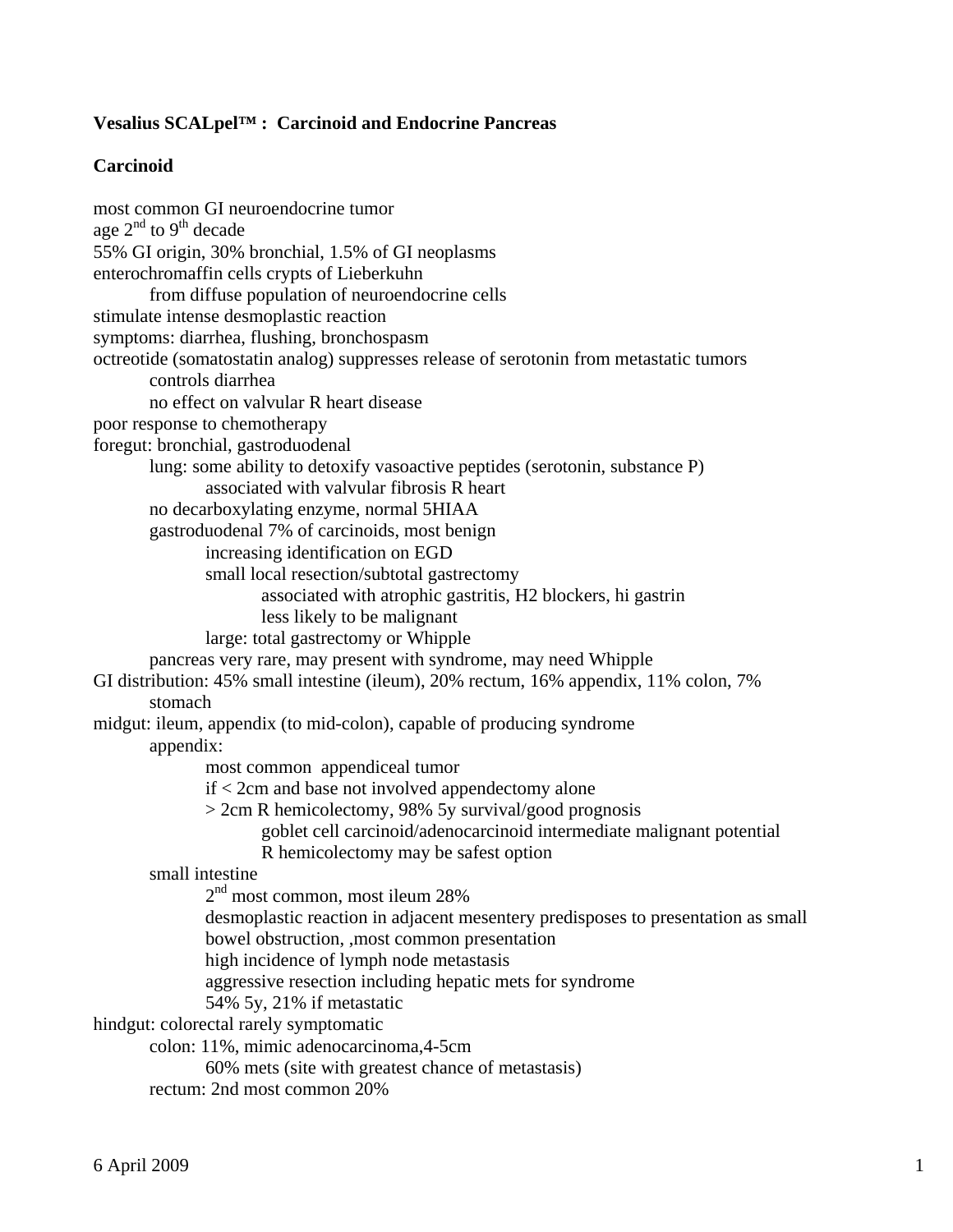# **Vesalius SCALpel™ : Carcinoid and Endocrine Pancreas**

## **Carcinoid**

most common GI neuroendocrine tumor age 2<sup>nd</sup> to 9<sup>th</sup> decade 55% GI origin, 30% bronchial, 1.5% of GI neoplasms enterochromaffin cells crypts of Lieberkuhn from diffuse population of neuroendocrine cells stimulate intense desmoplastic reaction symptoms: diarrhea, flushing, bronchospasm octreotide (somatostatin analog) suppresses release of serotonin from metastatic tumors controls diarrhea no effect on valvular R heart disease poor response to chemotherapy foregut: bronchial, gastroduodenal lung: some ability to detoxify vasoactive peptides (serotonin, substance P) associated with valvular fibrosis R heart no decarboxylating enzyme, normal 5HIAA gastroduodenal 7% of carcinoids, most benign increasing identification on EGD small local resection/subtotal gastrectomy associated with atrophic gastritis, H2 blockers, hi gastrin less likely to be malignant large: total gastrectomy or Whipple pancreas very rare, may present with syndrome, may need Whipple GI distribution: 45% small intestine (ileum), 20% rectum, 16% appendix, 11% colon, 7% stomach midgut: ileum, appendix (to mid-colon), capable of producing syndrome appendix: most common appendiceal tumor if < 2cm and base not involved appendectomy alone > 2cm R hemicolectomy, 98% 5y survival/good prognosis goblet cell carcinoid/adenocarcinoid intermediate malignant potential R hemicolectomy may be safest option small intestine 2<sup>nd</sup> most common, most ileum 28% desmoplastic reaction in adjacent mesentery predisposes to presentation as small bowel obstruction, ,most common presentation high incidence of lymph node metastasis aggressive resection including hepatic mets for syndrome 54% 5y, 21% if metastatic hindgut: colorectal rarely symptomatic colon: 11%, mimic adenocarcinoma,4-5cm 60% mets (site with greatest chance of metastasis) rectum: 2nd most common 20%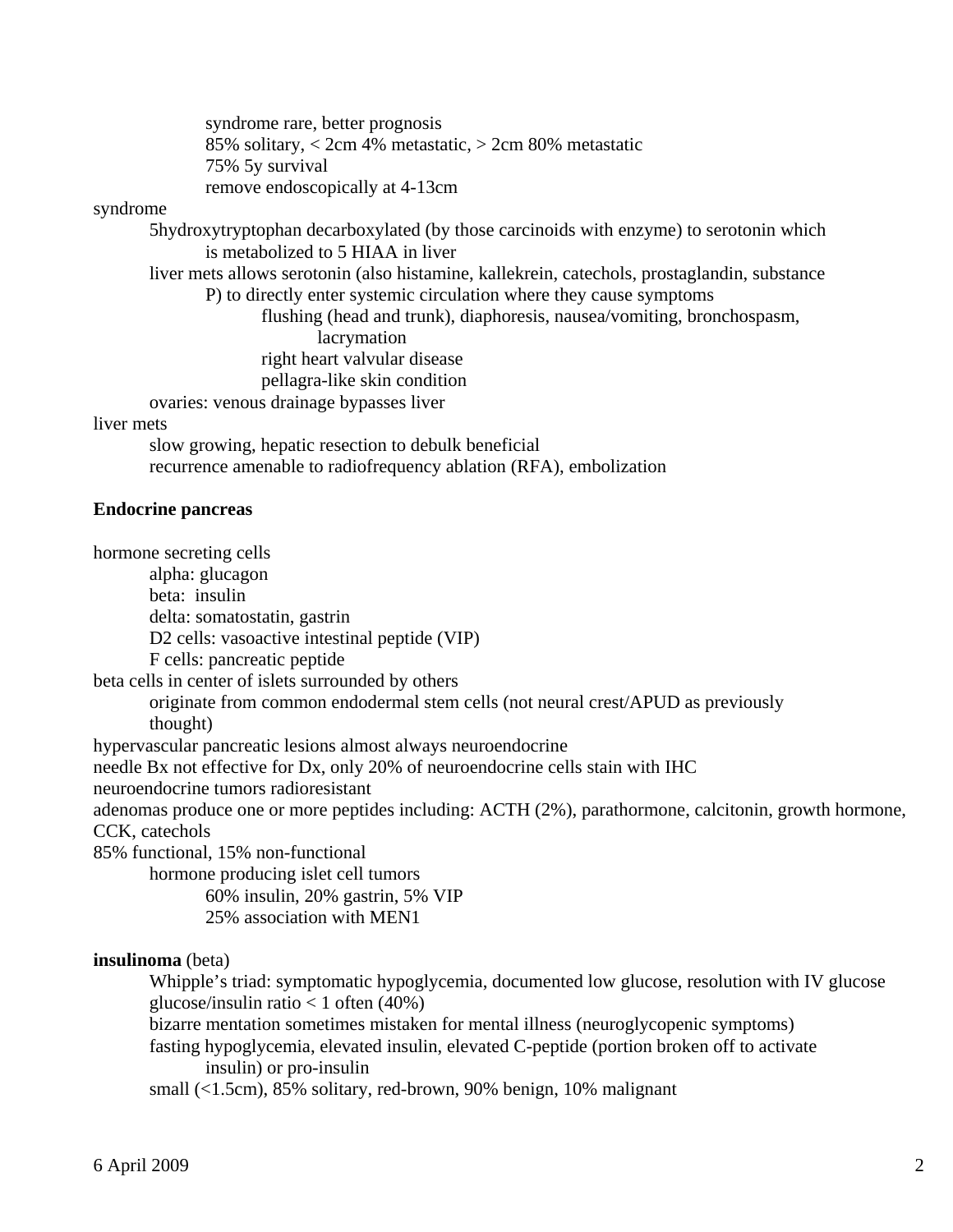syndrome rare, better prognosis 85% solitary, < 2cm 4% metastatic, > 2cm 80% metastatic 75% 5y survival remove endoscopically at 4-13cm

#### syndrome

 5hydroxytryptophan decarboxylated (by those carcinoids with enzyme) to serotonin which is metabolized to 5 HIAA in liver

 liver mets allows serotonin (also histamine, kallekrein, catechols, prostaglandin, substance P) to directly enter systemic circulation where they cause symptoms

> flushing (head and trunk), diaphoresis, nausea/vomiting, bronchospasm, lacrymation right heart valvular disease pellagra-like skin condition

ovaries: venous drainage bypasses liver

#### liver mets

 slow growing, hepatic resection to debulk beneficial recurrence amenable to radiofrequency ablation (RFA), embolization

### **Endocrine pancreas**

hormone secreting cells

alpha: glucagon

beta: insulin

delta: somatostatin, gastrin

D2 cells: vasoactive intestinal peptide (VIP)

F cells: pancreatic peptide

beta cells in center of islets surrounded by others

originate from common endodermal stem cells (not neural crest/APUD as previously

thought)

hypervascular pancreatic lesions almost always neuroendocrine

needle Bx not effective for Dx, only 20% of neuroendocrine cells stain with IHC

neuroendocrine tumors radioresistant

adenomas produce one or more peptides including: ACTH (2%), parathormone, calcitonin, growth hormone, CCK, catechols

85% functional, 15% non-functional

hormone producing islet cell tumors

60% insulin, 20% gastrin, 5% VIP

25% association with MEN1

#### **insulinoma** (beta)

 Whipple's triad: symptomatic hypoglycemia, documented low glucose, resolution with IV glucose glucose/insulin ratio  $< 1$  often (40%)

bizarre mentation sometimes mistaken for mental illness (neuroglycopenic symptoms)

 fasting hypoglycemia, elevated insulin, elevated C-peptide (portion broken off to activate insulin) or pro-insulin

small (<1.5cm), 85% solitary, red-brown, 90% benign, 10% malignant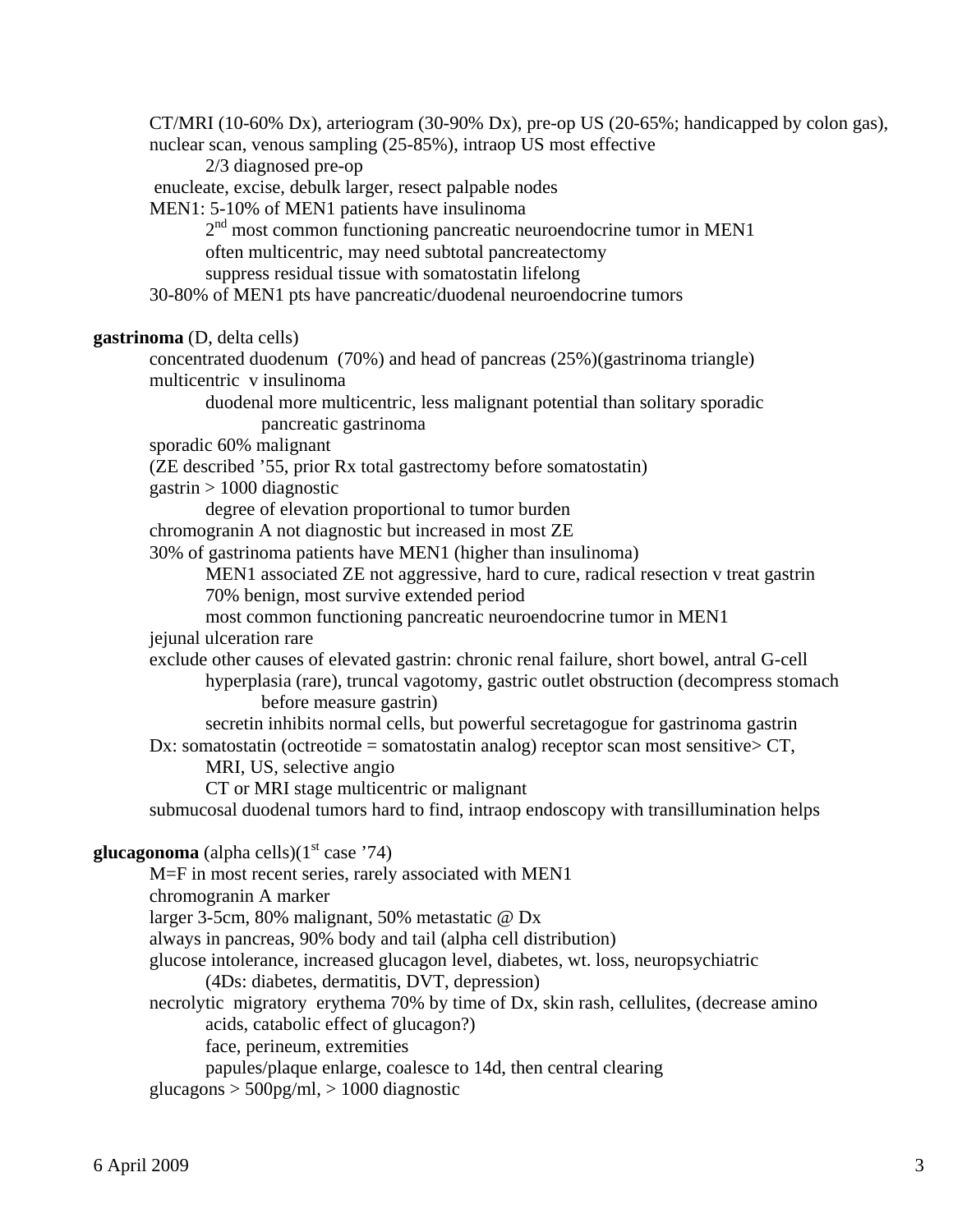CT/MRI (10-60% Dx), arteriogram (30-90% Dx), pre-op US (20-65%; handicapped by colon gas), nuclear scan, venous sampling (25-85%), intraop US most effective 2/3 diagnosed pre-op enucleate, excise, debulk larger, resect palpable nodes MEN1: 5-10% of MEN1 patients have insulinoma 2<sup>nd</sup> most common functioning pancreatic neuroendocrine tumor in MEN1 often multicentric, may need subtotal pancreatectomy suppress residual tissue with somatostatin lifelong 30-80% of MEN1 pts have pancreatic/duodenal neuroendocrine tumors **gastrinoma** (D, delta cells) concentrated duodenum (70%) and head of pancreas (25%)(gastrinoma triangle) multicentric v insulinoma duodenal more multicentric, less malignant potential than solitary sporadic pancreatic gastrinoma sporadic 60% malignant (ZE described '55, prior Rx total gastrectomy before somatostatin) gastrin > 1000 diagnostic degree of elevation proportional to tumor burden chromogranin A not diagnostic but increased in most ZE 30% of gastrinoma patients have MEN1 (higher than insulinoma) MEN1 associated ZE not aggressive, hard to cure, radical resection v treat gastrin 70% benign, most survive extended period most common functioning pancreatic neuroendocrine tumor in MEN1 jejunal ulceration rare exclude other causes of elevated gastrin: chronic renal failure, short bowel, antral G-cell hyperplasia (rare), truncal vagotomy, gastric outlet obstruction (decompress stomach before measure gastrin) secretin inhibits normal cells, but powerful secretagogue for gastrinoma gastrin Dx: somatostatin (octreotide = somatostatin analog) receptor scan most sensitive  $\subset$  CT, MRI, US, selective angio CT or MRI stage multicentric or malignant submucosal duodenal tumors hard to find, intraop endoscopy with transillumination helps **glucagonoma** (alpha cells) $(1<sup>st</sup> case '74)$  M=F in most recent series, rarely associated with MEN1 chromogranin A marker larger 3-5cm, 80% malignant, 50% metastatic @ Dx always in pancreas, 90% body and tail (alpha cell distribution) glucose intolerance, increased glucagon level, diabetes, wt. loss, neuropsychiatric (4Ds: diabetes, dermatitis, DVT, depression) necrolytic migratory erythema 70% by time of Dx, skin rash, cellulites, (decrease amino acids, catabolic effect of glucagon?) face, perineum, extremities papules/plaque enlarge, coalesce to 14d, then central clearing glucagons  $>$  500pg/ml,  $>$  1000 diagnostic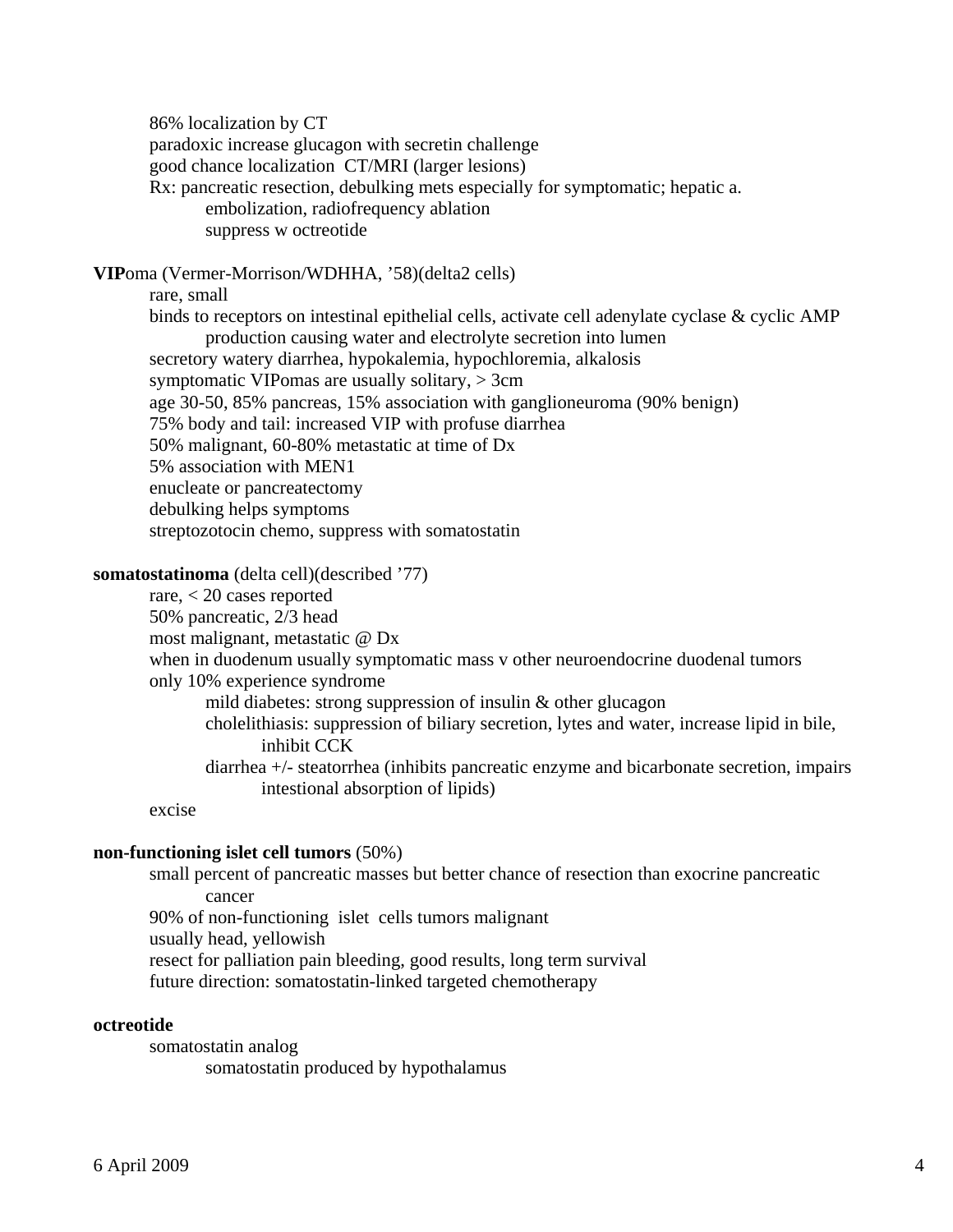86% localization by CT paradoxic increase glucagon with secretin challenge good chance localization CT/MRI (larger lesions) Rx: pancreatic resection, debulking mets especially for symptomatic; hepatic a. embolization, radiofrequency ablation suppress w octreotide

**VIP**oma (Vermer-Morrison/WDHHA, '58)(delta2 cells)

rare, small

 binds to receptors on intestinal epithelial cells, activate cell adenylate cyclase & cyclic AMP production causing water and electrolyte secretion into lumen secretory watery diarrhea, hypokalemia, hypochloremia, alkalosis symptomatic VIPomas are usually solitary, > 3cm age 30-50, 85% pancreas, 15% association with ganglioneuroma (90% benign) 75% body and tail: increased VIP with profuse diarrhea 50% malignant, 60-80% metastatic at time of Dx 5% association with MEN1 enucleate or pancreatectomy debulking helps symptoms

streptozotocin chemo, suppress with somatostatin

## **somatostatinoma** (delta cell)(described '77)

 rare, < 20 cases reported 50% pancreatic, 2/3 head most malignant, metastatic @ Dx when in duodenum usually symptomatic mass v other neuroendocrine duodenal tumors only 10% experience syndrome mild diabetes: strong suppression of insulin & other glucagon cholelithiasis: suppression of biliary secretion, lytes and water, increase lipid in bile, inhibit CCK diarrhea +/- steatorrhea (inhibits pancreatic enzyme and bicarbonate secretion, impairs intestional absorption of lipids) excise

#### **non-functioning islet cell tumors** (50%)

 small percent of pancreatic masses but better chance of resection than exocrine pancreatic cancer 90% of non-functioning islet cells tumors malignant usually head, yellowish

resect for palliation pain bleeding, good results, long term survival

future direction: somatostatin-linked targeted chemotherapy

### **octreotide**

somatostatin analog somatostatin produced by hypothalamus